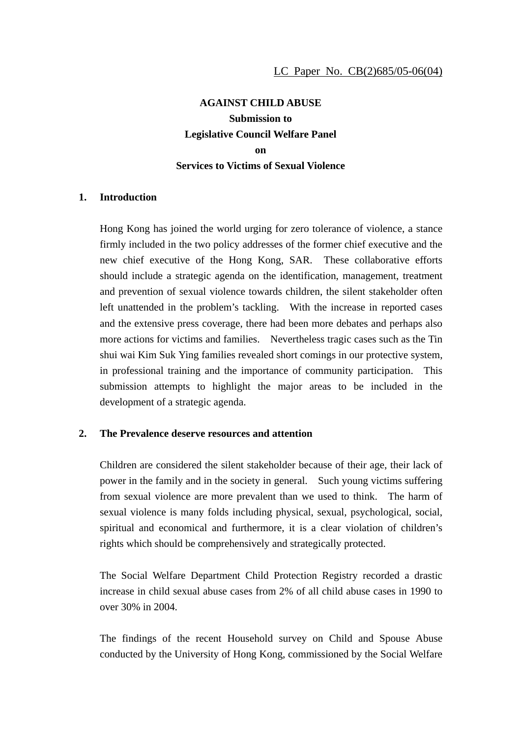# **AGAINST CHILD ABUSE Submission to Legislative Council Welfare Panel on Services to Victims of Sexual Violence**

### **1. Introduction**

Hong Kong has joined the world urging for zero tolerance of violence, a stance firmly included in the two policy addresses of the former chief executive and the new chief executive of the Hong Kong, SAR. These collaborative efforts should include a strategic agenda on the identification, management, treatment and prevention of sexual violence towards children, the silent stakeholder often left unattended in the problem's tackling. With the increase in reported cases and the extensive press coverage, there had been more debates and perhaps also more actions for victims and families. Nevertheless tragic cases such as the Tin shui wai Kim Suk Ying families revealed short comings in our protective system, in professional training and the importance of community participation. This submission attempts to highlight the major areas to be included in the development of a strategic agenda.

### **2. The Prevalence deserve resources and attention**

Children are considered the silent stakeholder because of their age, their lack of power in the family and in the society in general. Such young victims suffering from sexual violence are more prevalent than we used to think. The harm of sexual violence is many folds including physical, sexual, psychological, social, spiritual and economical and furthermore, it is a clear violation of children's rights which should be comprehensively and strategically protected.

The Social Welfare Department Child Protection Registry recorded a drastic increase in child sexual abuse cases from 2% of all child abuse cases in 1990 to over 30% in 2004.

The findings of the recent Household survey on Child and Spouse Abuse conducted by the University of Hong Kong, commissioned by the Social Welfare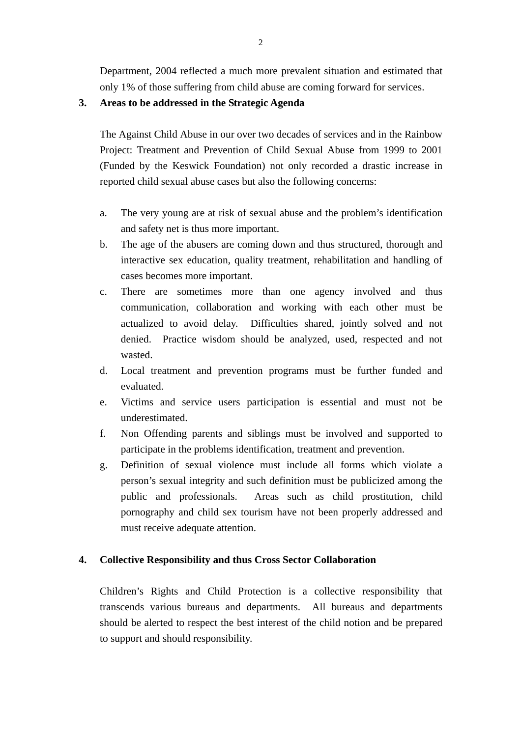Department, 2004 reflected a much more prevalent situation and estimated that only 1% of those suffering from child abuse are coming forward for services.

## **3. Areas to be addressed in the Strategic Agenda**

The Against Child Abuse in our over two decades of services and in the Rainbow Project: Treatment and Prevention of Child Sexual Abuse from 1999 to 2001 (Funded by the Keswick Foundation) not only recorded a drastic increase in reported child sexual abuse cases but also the following concerns:

- a. The very young are at risk of sexual abuse and the problem's identification and safety net is thus more important.
- b. The age of the abusers are coming down and thus structured, thorough and interactive sex education, quality treatment, rehabilitation and handling of cases becomes more important.
- c. There are sometimes more than one agency involved and thus communication, collaboration and working with each other must be actualized to avoid delay. Difficulties shared, jointly solved and not denied. Practice wisdom should be analyzed, used, respected and not wasted.
- d. Local treatment and prevention programs must be further funded and evaluated.
- e. Victims and service users participation is essential and must not be underestimated.
- f. Non Offending parents and siblings must be involved and supported to participate in the problems identification, treatment and prevention.
- g. Definition of sexual violence must include all forms which violate a person's sexual integrity and such definition must be publicized among the public and professionals. Areas such as child prostitution, child pornography and child sex tourism have not been properly addressed and must receive adequate attention.

### **4. Collective Responsibility and thus Cross Sector Collaboration**

Children's Rights and Child Protection is a collective responsibility that transcends various bureaus and departments. All bureaus and departments should be alerted to respect the best interest of the child notion and be prepared to support and should responsibility.